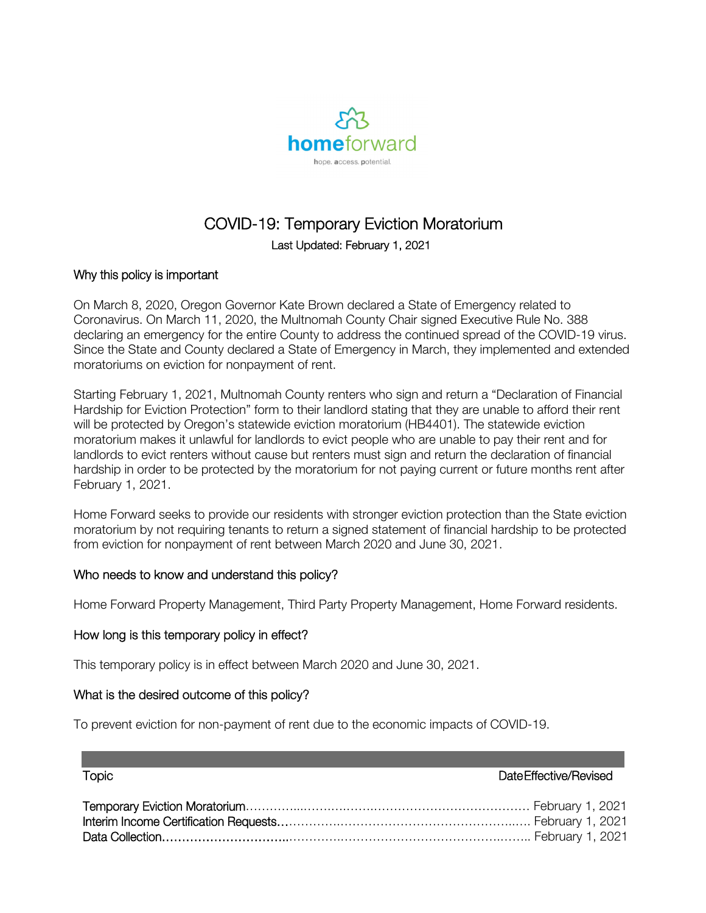

# COVID-19: Temporary Eviction Moratorium Last Updated: February 1, 2021

#### Why this policy is important

On March 8, 2020, Oregon Governor Kate Brown declared a State of Emergency related to Coronavirus. On March 11, 2020, the Multnomah County Chair signed Executive Rule No. 388 declaring an emergency for the entire County to address the continued spread of the COVID-19 virus. Since the State and County declared a State of Emergency in March, they implemented and extended moratoriums on eviction for nonpayment of rent.

Starting February 1, 2021, Multnomah County renters who sign and return a "Declaration of Financial Hardship for Eviction Protection" form to their landlord stating that they are unable to afford their rent will be protected by Oregon's statewide eviction moratorium (HB4401). The statewide eviction moratorium makes it unlawful for landlords to evict people who are unable to pay their rent and for landlords to evict renters without cause but renters must sign and return the declaration of financial hardship in order to be protected by the moratorium for not paying current or future months rent after February 1, 2021.

Home Forward seeks to provide our residents with stronger eviction protection than the State eviction moratorium by not requiring tenants to return a signed statement of financial hardship to be protected from eviction for nonpayment of rent between March 2020 and June 30, 2021.

### Who needs to know and understand this policy?

Home Forward Property Management, Third Party Property Management, Home Forward residents.

#### How long is this temporary policy in effect?

This temporary policy is in effect between March 2020 and June 30, 2021.

#### What is the desired outcome of this policy?

To prevent eviction for non-payment of rent due to the economic impacts of COVID-19.

### Topic Date Effective/Revised